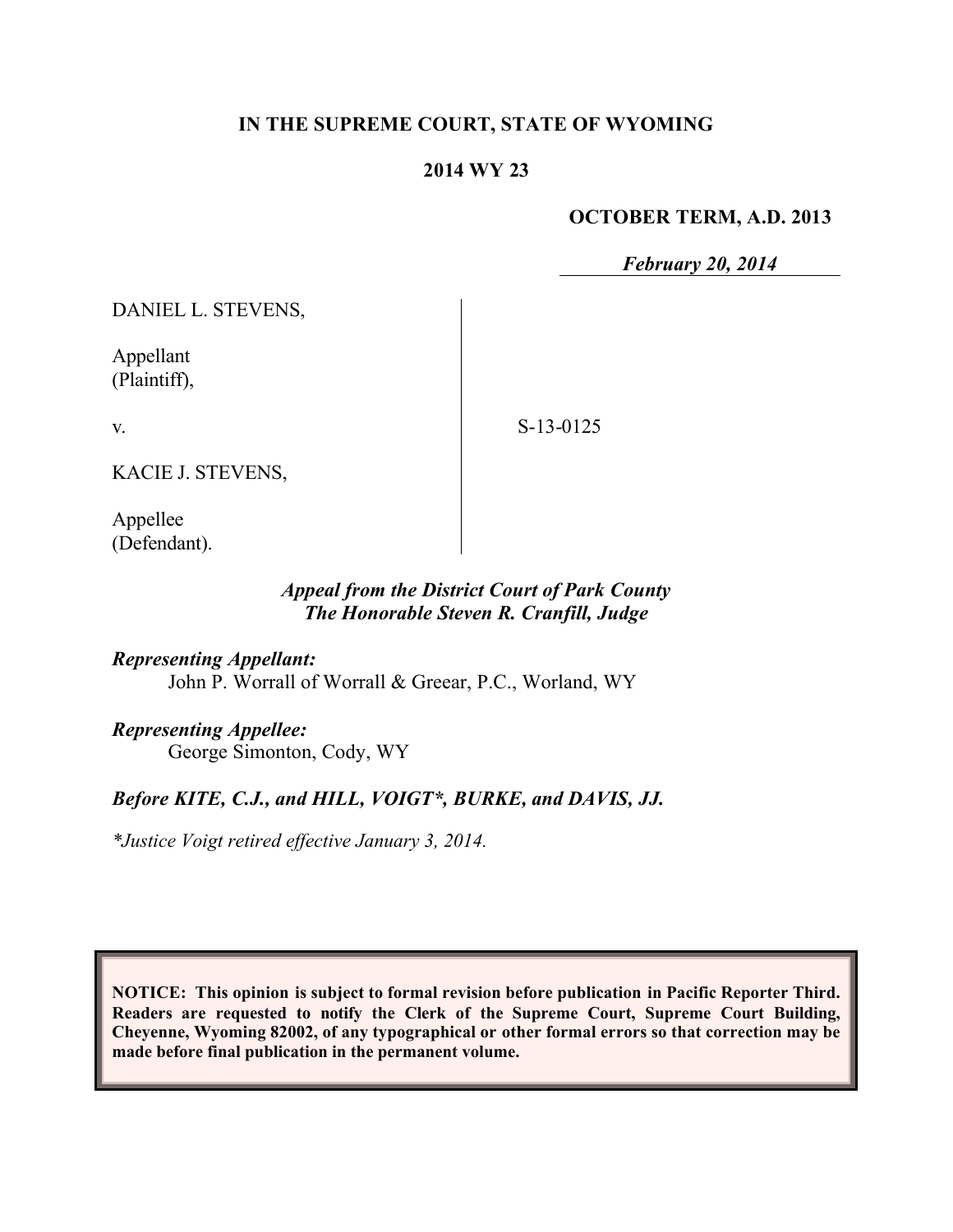## **IN THE SUPREME COURT, STATE OF WYOMING**

#### **2014 WY 23**

#### **OCTOBER TERM, A.D. 2013**

*February 20, 2014*

DANIEL L. STEVENS,

Appellant (Plaintiff),

v.

S-13-0125

KACIE J. STEVENS,

Appellee (Defendant).

## *Appeal from the District Court of Park County The Honorable Steven R. Cranfill, Judge*

*Representing Appellant:* John P. Worrall of Worrall & Greear, P.C., Worland, WY

*Representing Appellee:*

George Simonton, Cody, WY

# *Before KITE, C.J., and HILL, VOIGT\*, BURKE, and DAVIS, JJ.*

*\*Justice Voigt retired effective January 3, 2014.*

**NOTICE: This opinion is subject to formal revision before publication in Pacific Reporter Third. Readers are requested to notify the Clerk of the Supreme Court, Supreme Court Building, Cheyenne, Wyoming 82002, of any typographical or other formal errors so that correction may be made before final publication in the permanent volume.**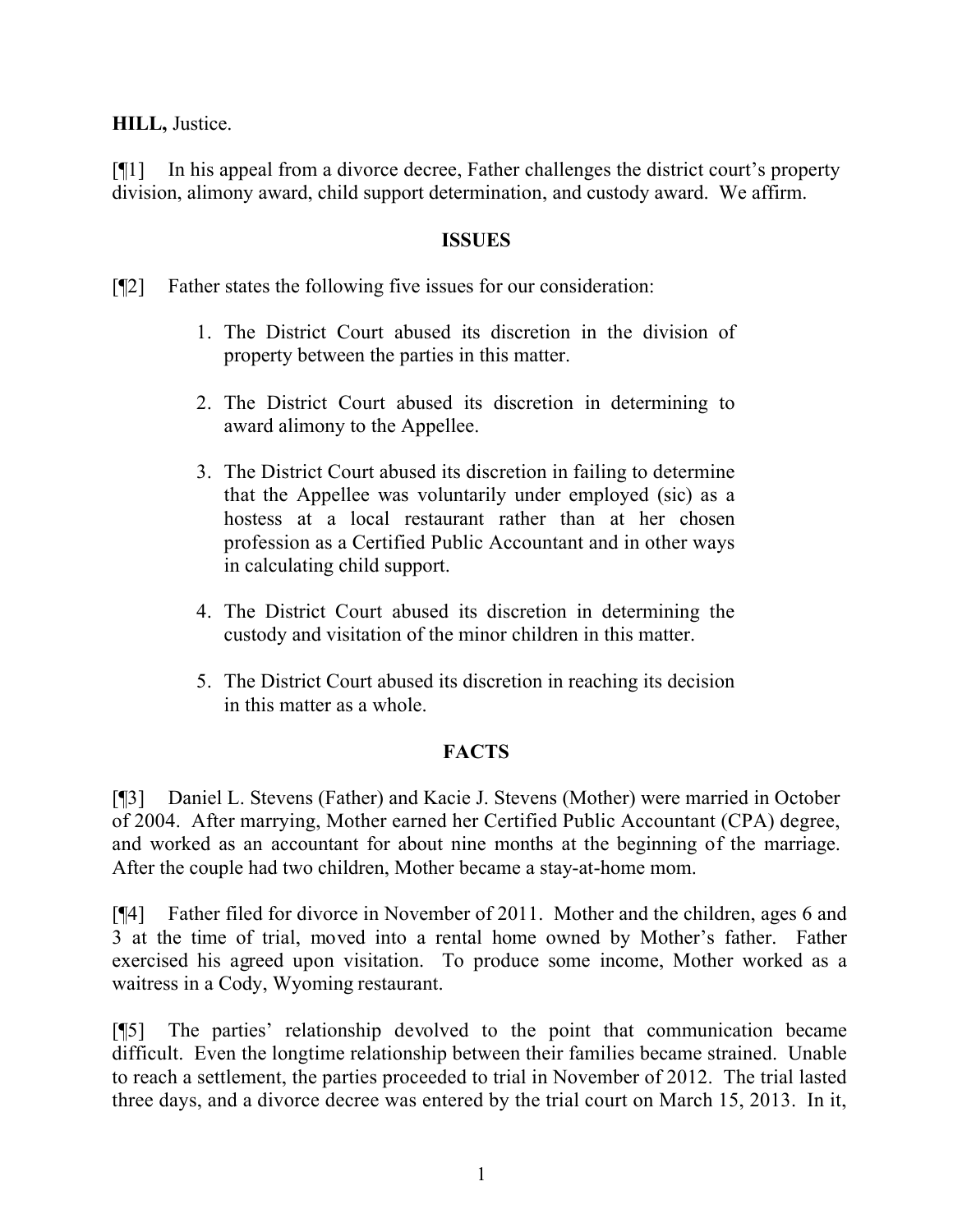### **HILL,** Justice.

[¶1] In his appeal from a divorce decree, Father challenges the district court's property division, alimony award, child support determination, and custody award. We affirm.

#### **ISSUES**

[¶2] Father states the following five issues for our consideration:

- 1. The District Court abused its discretion in the division of property between the parties in this matter.
- 2. The District Court abused its discretion in determining to award alimony to the Appellee.
- 3. The District Court abused its discretion in failing to determine that the Appellee was voluntarily under employed (sic) as a hostess at a local restaurant rather than at her chosen profession as a Certified Public Accountant and in other ways in calculating child support.
- 4. The District Court abused its discretion in determining the custody and visitation of the minor children in this matter.
- 5. The District Court abused its discretion in reaching its decision in this matter as a whole.

## **FACTS**

[¶3] Daniel L. Stevens (Father) and Kacie J. Stevens (Mother) were married in October of 2004. After marrying, Mother earned her Certified Public Accountant (CPA) degree, and worked as an accountant for about nine months at the beginning of the marriage. After the couple had two children, Mother became a stay-at-home mom.

[¶4] Father filed for divorce in November of 2011. Mother and the children, ages 6 and 3 at the time of trial, moved into a rental home owned by Mother's father. Father exercised his agreed upon visitation. To produce some income, Mother worked as a waitress in a Cody, Wyoming restaurant.

[¶5] The parties' relationship devolved to the point that communication became difficult. Even the longtime relationship between their families became strained. Unable to reach a settlement, the parties proceeded to trial in November of 2012. The trial lasted three days, and a divorce decree was entered by the trial court on March 15, 2013. In it,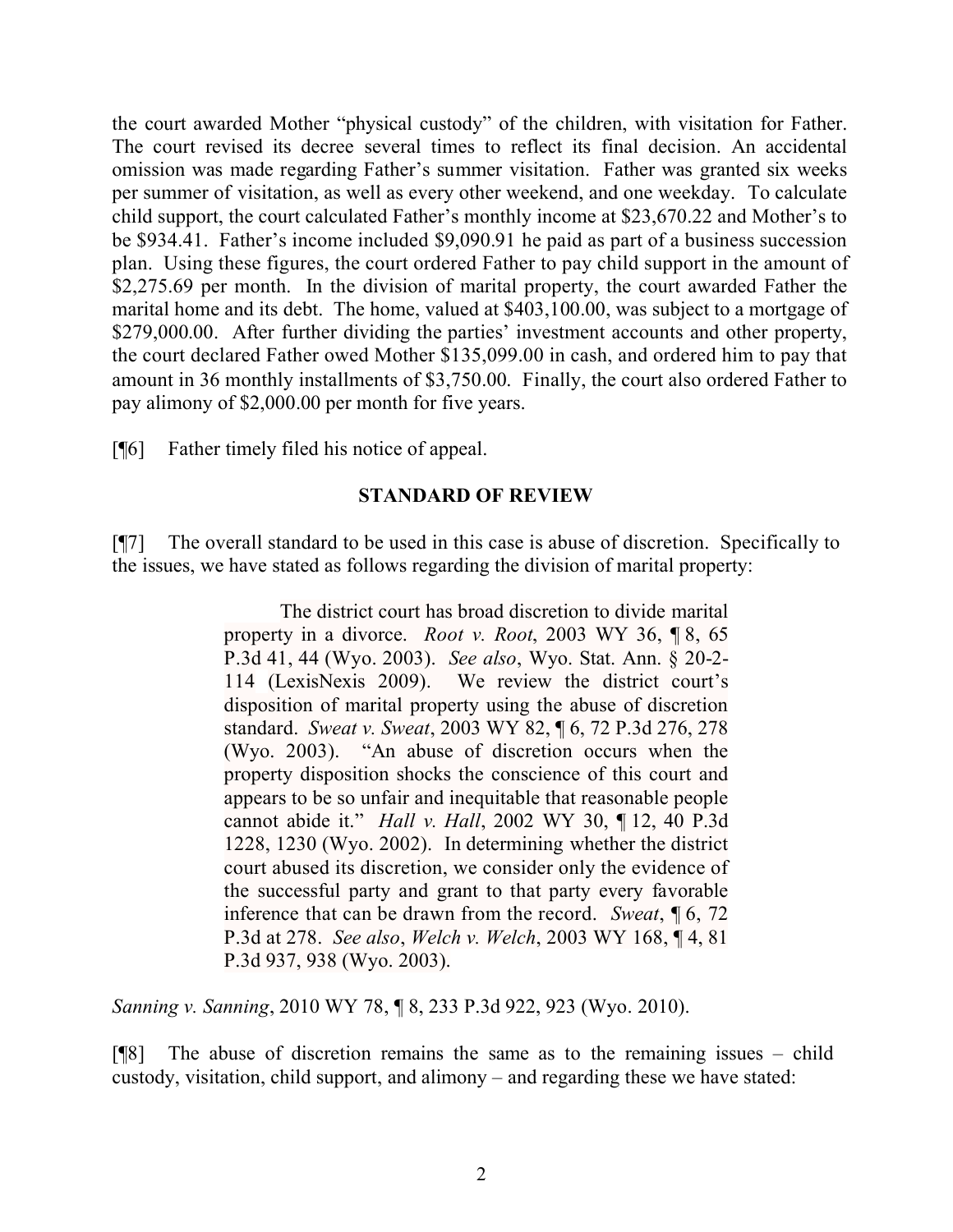the court awarded Mother "physical custody" of the children, with visitation for Father. The court revised its decree several times to reflect its final decision. An accidental omission was made regarding Father's summer visitation. Father was granted six weeks per summer of visitation, as well as every other weekend, and one weekday. To calculate child support, the court calculated Father's monthly income at \$23,670.22 and Mother's to be \$934.41. Father's income included \$9,090.91 he paid as part of a business succession plan. Using these figures, the court ordered Father to pay child support in the amount of \$2,275.69 per month. In the division of marital property, the court awarded Father the marital home and its debt. The home, valued at \$403,100.00, was subject to a mortgage of \$279,000.00. After further dividing the parties' investment accounts and other property, the court declared Father owed Mother \$135,099.00 in cash, and ordered him to pay that amount in 36 monthly installments of \$3,750.00. Finally, the court also ordered Father to pay alimony of \$2,000.00 per month for five years.

[¶6] Father timely filed his notice of appeal.

#### **STANDARD OF REVIEW**

[¶7] The overall standard to be used in this case is abuse of discretion. Specifically to the issues, we have stated as follows regarding the division of marital property:

> The district court has broad discretion to divide marital property in a divorce. *Root v. Root*, 2003 WY 36, ¶ 8, 65 P.3d 41, 44 (Wyo. 2003). *See also*, Wyo. Stat. Ann. § 20-2- 114 (LexisNexis 2009). We review the district court's disposition of marital property using the abuse of discretion standard. *Sweat v. Sweat*, 2003 WY 82, ¶ 6, 72 P.3d 276, 278 (Wyo. 2003). "An abuse of discretion occurs when the property disposition shocks the conscience of this court and appears to be so unfair and inequitable that reasonable people cannot abide it." *Hall v. Hall*, 2002 WY 30, ¶ 12, 40 P.3d 1228, 1230 (Wyo. 2002). In determining whether the district court abused its discretion, we consider only the evidence of the successful party and grant to that party every favorable inference that can be drawn from the record. *Sweat*, ¶ 6, 72 P.3d at 278. *See also*, *Welch v. Welch*, 2003 WY 168, ¶ 4, 81 P.3d 937, 938 (Wyo. 2003).

*Sanning v. Sanning*, 2010 WY 78, ¶ 8, 233 P.3d 922, 923 (Wyo. 2010).

[¶8] The abuse of discretion remains the same as to the remaining issues – child custody, visitation, child support, and alimony – and regarding these we have stated: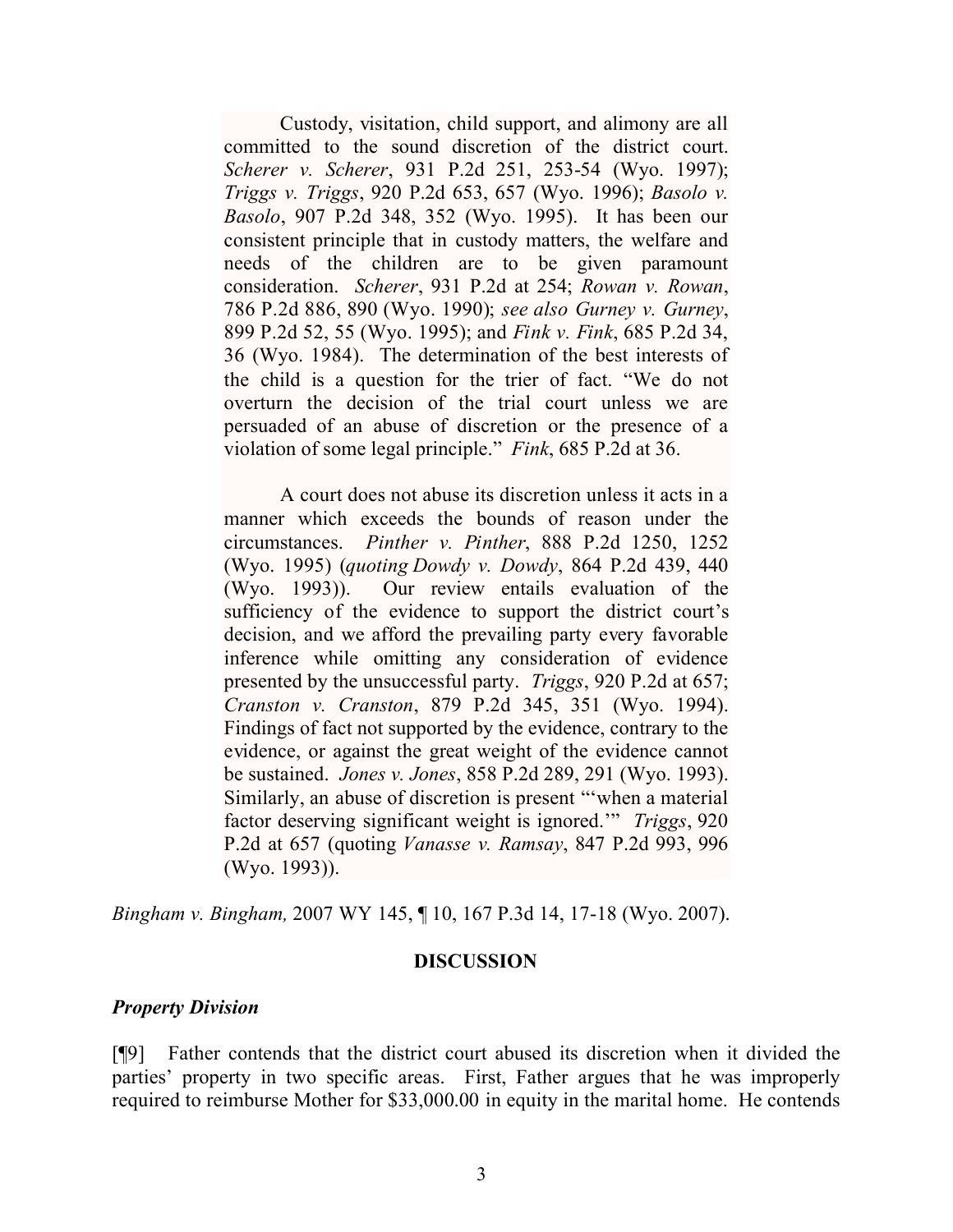Custody, visitation, child support, and alimony are all committed to the sound discretion of the district court. *Scherer v. Scherer*, 931 P.2d 251, 253-54 (Wyo. 1997); *Triggs v. Triggs*, 920 P.2d 653, 657 (Wyo. 1996); *Basolo v. Basolo*, 907 P.2d 348, 352 (Wyo. 1995). It has been our consistent principle that in custody matters, the welfare and needs of the children are to be given paramount consideration. *Scherer*, 931 P.2d at 254; *Rowan v. Rowan*, 786 P.2d 886, 890 (Wyo. 1990); *see also Gurney v. Gurney*, 899 P.2d 52, 55 (Wyo. 1995); and *Fink v. Fink*, 685 P.2d 34, 36 (Wyo. 1984). The determination of the best interests of the child is a question for the trier of fact. "We do not overturn the decision of the trial court unless we are persuaded of an abuse of discretion or the presence of a violation of some legal principle." *Fink*, 685 P.2d at 36.

A court does not abuse its discretion unless it acts in a manner which exceeds the bounds of reason under the circumstances. *Pinther v. Pinther*, 888 P.2d 1250, 1252 (Wyo. 1995) (*quoting Dowdy v. Dowdy*, 864 P.2d 439, 440 (Wyo. 1993)). Our review entails evaluation of the sufficiency of the evidence to support the district court's decision, and we afford the prevailing party every favorable inference while omitting any consideration of evidence presented by the unsuccessful party. *Triggs*, 920 P.2d at 657; *Cranston v. Cranston*, 879 P.2d 345, 351 (Wyo. 1994). Findings of fact not supported by the evidence, contrary to the evidence, or against the great weight of the evidence cannot be sustained. *Jones v. Jones*, 858 P.2d 289, 291 (Wyo. 1993). Similarly, an abuse of discretion is present "'when a material factor deserving significant weight is ignored.'" *Triggs*, 920 P.2d at 657 (quoting *Vanasse v. Ramsay*, 847 P.2d 993, 996 (Wyo. 1993)).

*Bingham v. Bingham,* 2007 WY 145, ¶ 10, 167 P.3d 14, 17-18 (Wyo. 2007).

#### **DISCUSSION**

#### *Property Division*

[¶9] Father contends that the district court abused its discretion when it divided the parties' property in two specific areas. First, Father argues that he was improperly required to reimburse Mother for \$33,000.00 in equity in the marital home. He contends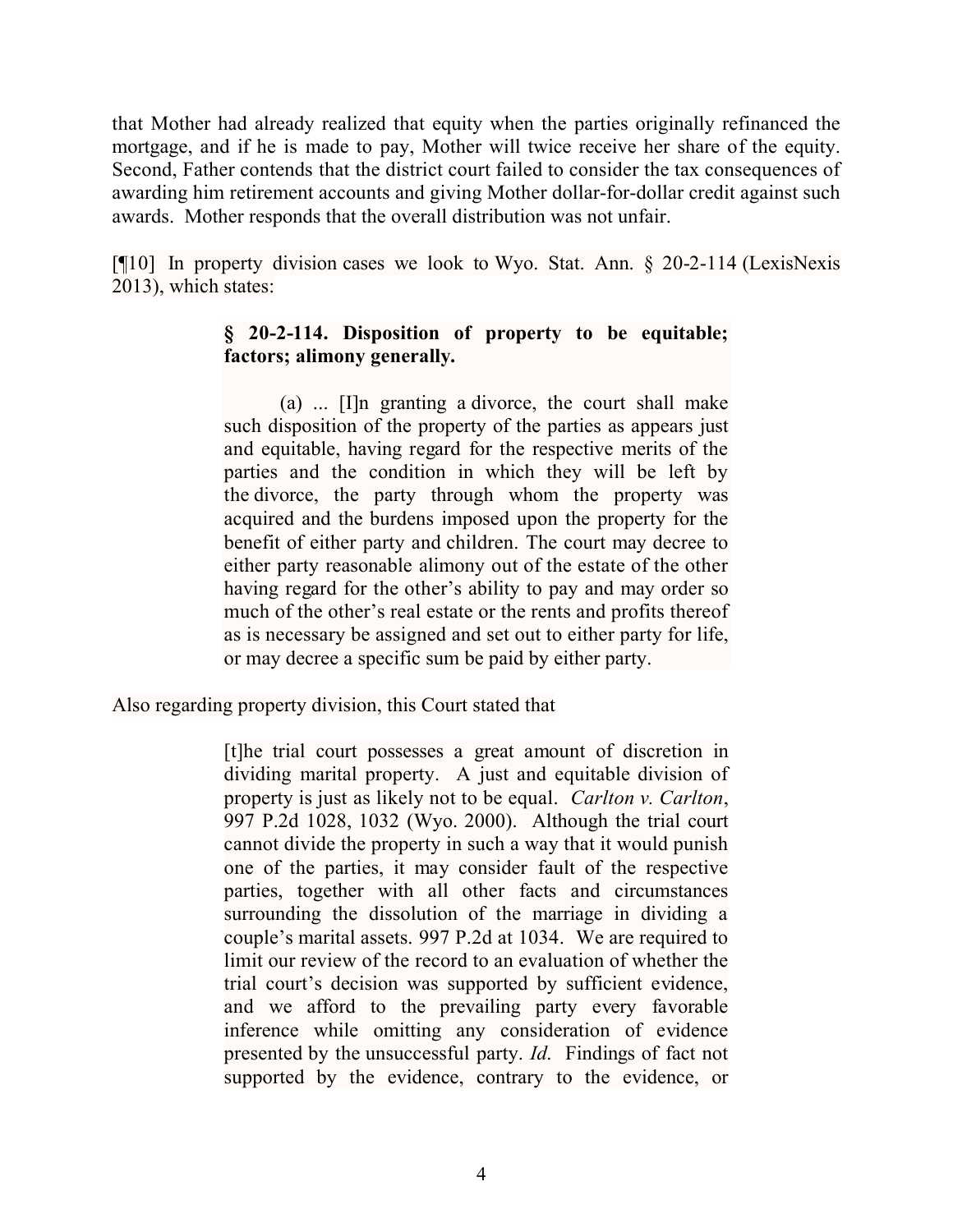that Mother had already realized that equity when the parties originally refinanced the mortgage, and if he is made to pay, Mother will twice receive her share of the equity. Second, Father contends that the district court failed to consider the tax consequences of awarding him retirement accounts and giving Mother dollar-for-dollar credit against such awards. Mother responds that the overall distribution was not unfair.

[¶10] In property division cases we look to Wyo. Stat. Ann. § 20-2-114 (LexisNexis 2013), which states:

## **§ 20-2-114. Disposition of property to be equitable; factors; alimony generally.**

(a) ... [I]n granting a divorce, the court shall make such disposition of the property of the parties as appears just and equitable, having regard for the respective merits of the parties and the condition in which they will be left by the divorce, the party through whom the property was acquired and the burdens imposed upon the property for the benefit of either party and children. The court may decree to either party reasonable alimony out of the estate of the other having regard for the other's ability to pay and may order so much of the other's real estate or the rents and profits thereof as is necessary be assigned and set out to either party for life, or may decree a specific sum be paid by either party.

Also regarding property division, this Court stated that

[t]he trial court possesses a great amount of discretion in dividing marital property. A just and equitable division of property is just as likely not to be equal. *Carlton v. Carlton*, 997 P.2d 1028, 1032 (Wyo. 2000). Although the trial court cannot divide the property in such a way that it would punish one of the parties, it may consider fault of the respective parties, together with all other facts and circumstances surrounding the dissolution of the marriage in dividing a couple's marital assets. 997 P.2d at 1034. We are required to limit our review of the record to an evaluation of whether the trial court's decision was supported by sufficient evidence, and we afford to the prevailing party every favorable inference while omitting any consideration of evidence presented by the unsuccessful party. *Id*. Findings of fact not supported by the evidence, contrary to the evidence, or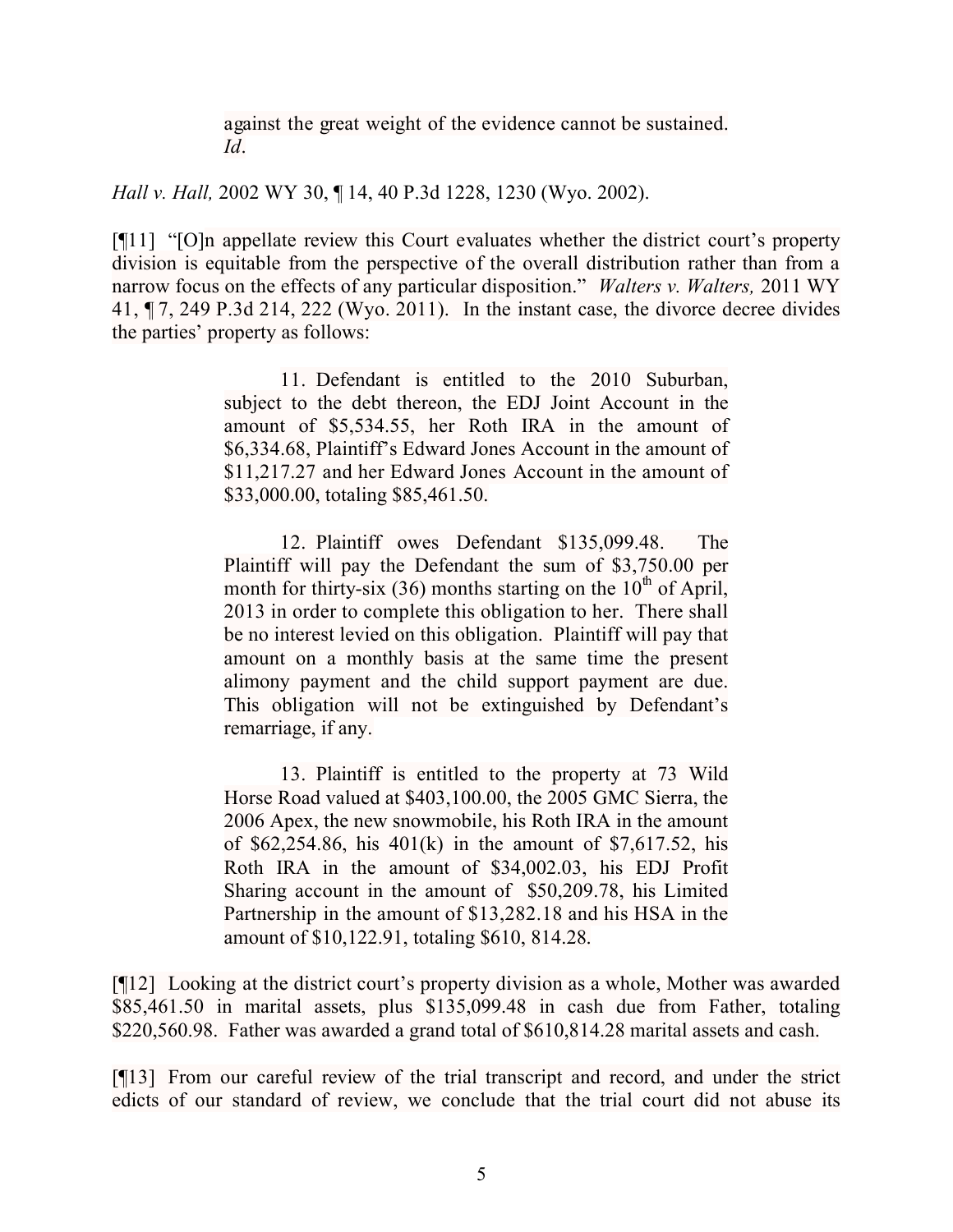against the great weight of the evidence cannot be sustained. *Id*.

*Hall v. Hall,* 2002 WY 30, ¶ 14, 40 P.3d 1228, 1230 (Wyo. 2002).

[¶11] "[O]n appellate review this Court evaluates whether the district court's property division is equitable from the perspective of the overall distribution rather than from a narrow focus on the effects of any particular disposition." *Walters v. Walters,* 2011 WY 41, ¶ 7, 249 P.3d 214, 222 (Wyo. 2011). In the instant case, the divorce decree divides the parties' property as follows:

> 11. Defendant is entitled to the 2010 Suburban, subject to the debt thereon, the EDJ Joint Account in the amount of \$5,534.55, her Roth IRA in the amount of \$6,334.68, Plaintiff's Edward Jones Account in the amount of \$11,217.27 and her Edward Jones Account in the amount of \$33,000.00, totaling \$85,461.50.

> 12. Plaintiff owes Defendant \$135,099.48. The Plaintiff will pay the Defendant the sum of \$3,750.00 per month for thirty-six (36) months starting on the  $10<sup>th</sup>$  of April, 2013 in order to complete this obligation to her. There shall be no interest levied on this obligation. Plaintiff will pay that amount on a monthly basis at the same time the present alimony payment and the child support payment are due. This obligation will not be extinguished by Defendant's remarriage, if any.

> 13. Plaintiff is entitled to the property at 73 Wild Horse Road valued at \$403,100.00, the 2005 GMC Sierra, the 2006 Apex, the new snowmobile, his Roth IRA in the amount of \$62,254.86, his 401(k) in the amount of \$7,617.52, his Roth IRA in the amount of \$34,002.03, his EDJ Profit Sharing account in the amount of \$50,209.78, his Limited Partnership in the amount of \$13,282.18 and his HSA in the amount of \$10,122.91, totaling \$610, 814.28.

[¶12] Looking at the district court's property division as a whole, Mother was awarded \$85,461.50 in marital assets, plus \$135,099.48 in cash due from Father, totaling \$220,560.98. Father was awarded a grand total of \$610,814.28 marital assets and cash.

[¶13] From our careful review of the trial transcript and record, and under the strict edicts of our standard of review, we conclude that the trial court did not abuse its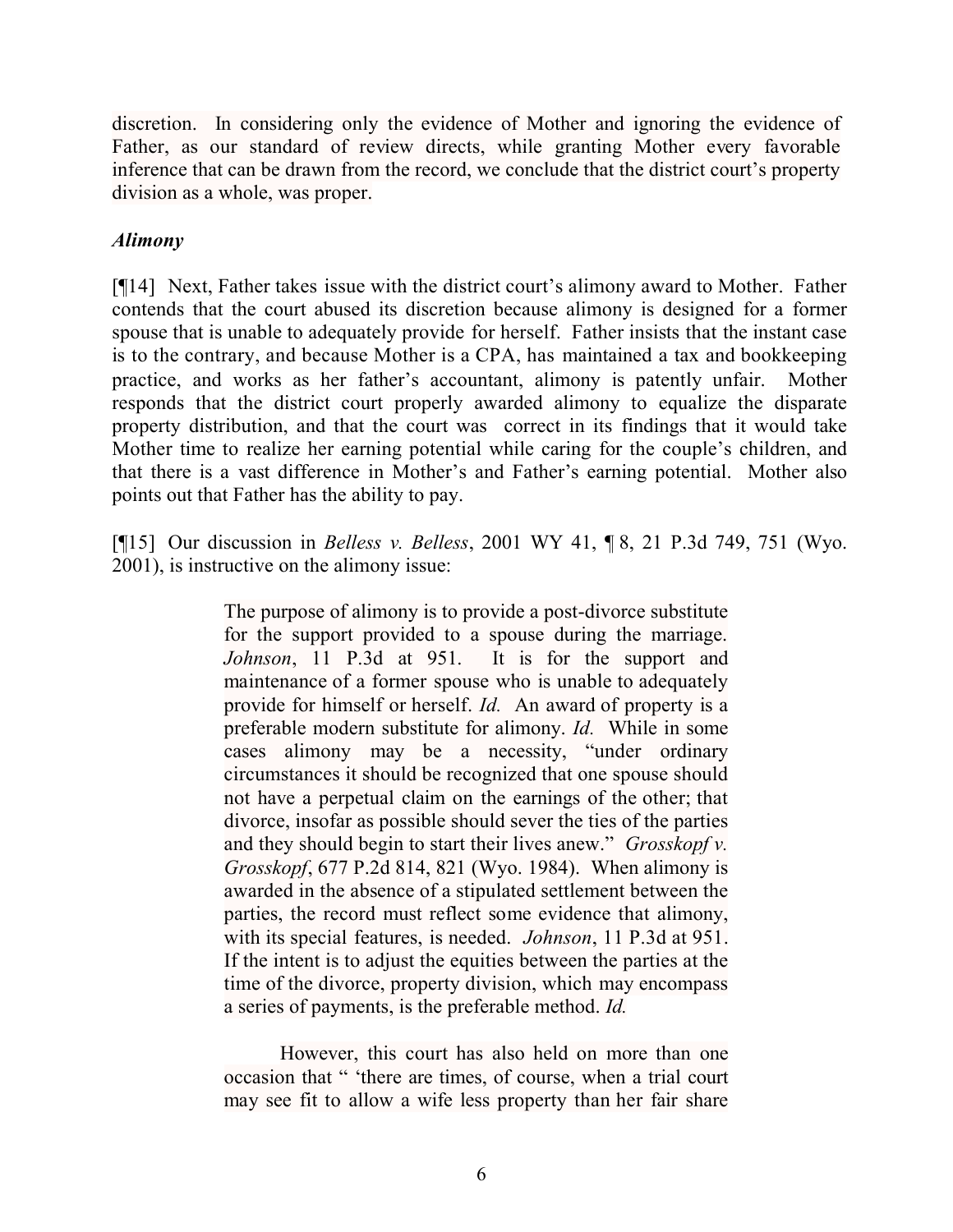discretion. In considering only the evidence of Mother and ignoring the evidence of Father, as our standard of review directs, while granting Mother every favorable inference that can be drawn from the record, we conclude that the district court's property division as a whole, was proper.

## *Alimony*

[¶14] Next, Father takes issue with the district court's alimony award to Mother. Father contends that the court abused its discretion because alimony is designed for a former spouse that is unable to adequately provide for herself. Father insists that the instant case is to the contrary, and because Mother is a CPA, has maintained a tax and bookkeeping practice, and works as her father's accountant, alimony is patently unfair. Mother responds that the district court properly awarded alimony to equalize the disparate property distribution, and that the court was correct in its findings that it would take Mother time to realize her earning potential while caring for the couple's children, and that there is a vast difference in Mother's and Father's earning potential. Mother also points out that Father has the ability to pay.

[¶15] Our discussion in *Belless v. Belless*, 2001 WY 41, ¶ 8, 21 P.3d 749, 751 (Wyo. 2001), is instructive on the alimony issue:

> The purpose of alimony is to provide a post-divorce substitute for the support provided to a spouse during the marriage. *Johnson*, 11 P.3d at 951. It is for the support and maintenance of a former spouse who is unable to adequately provide for himself or herself. *Id.* An award of property is a preferable modern substitute for alimony. *Id.* While in some cases alimony may be a necessity, "under ordinary circumstances it should be recognized that one spouse should not have a perpetual claim on the earnings of the other; that divorce, insofar as possible should sever the ties of the parties and they should begin to start their lives anew." *Grosskopf v. Grosskopf*, 677 P.2d 814, 821 (Wyo. 1984). When alimony is awarded in the absence of a stipulated settlement between the parties, the record must reflect some evidence that alimony, with its special features, is needed. *Johnson*, 11 P.3d at 951. If the intent is to adjust the equities between the parties at the time of the divorce, property division, which may encompass a series of payments, is the preferable method. *Id.*

However, this court has also held on more than one occasion that " 'there are times, of course, when a trial court may see fit to allow a wife less property than her fair share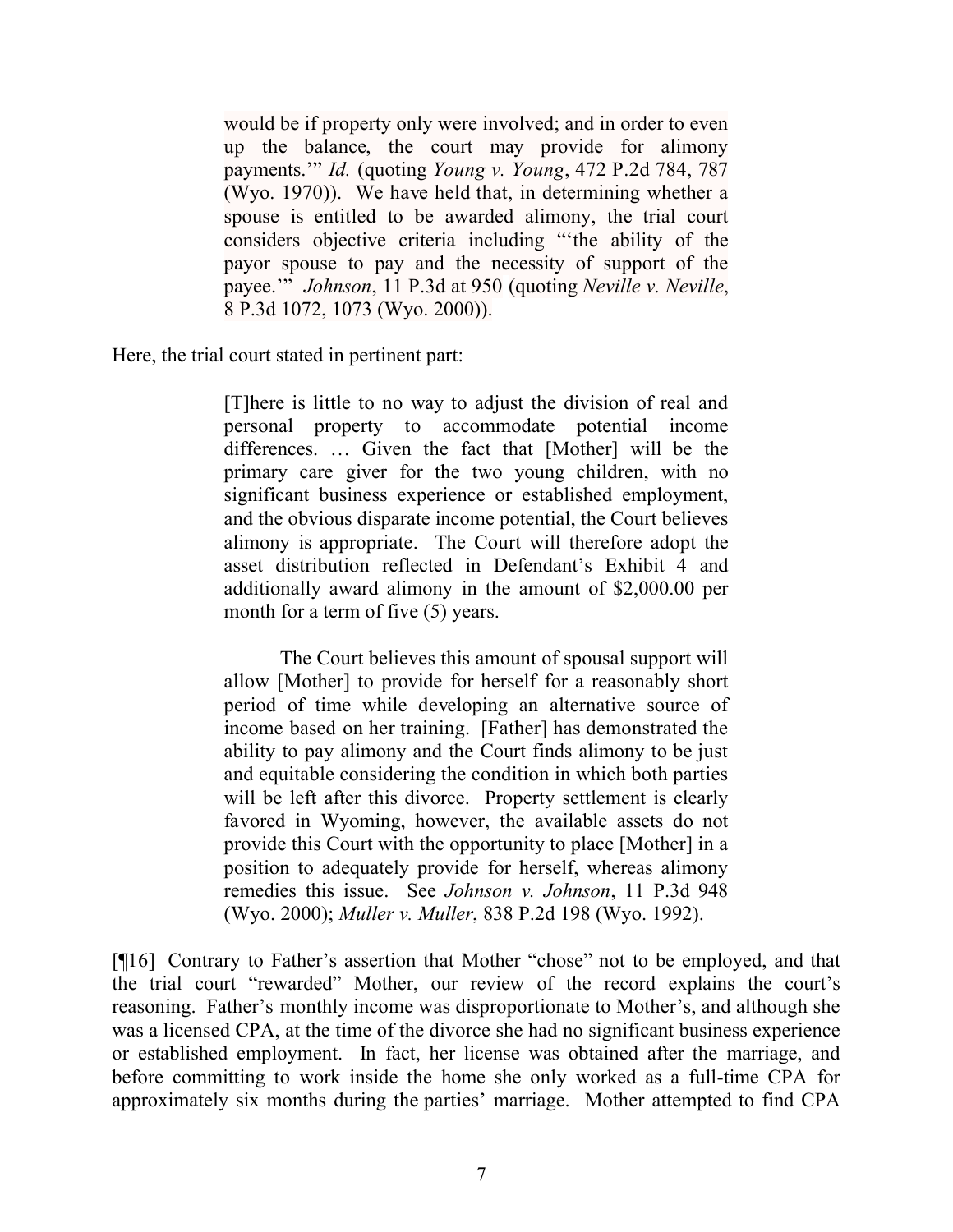would be if property only were involved; and in order to even up the balance, the court may provide for alimony payments.'" *Id.* (quoting *Young v. Young*, 472 P.2d 784, 787 (Wyo. 1970)). We have held that, in determining whether a spouse is entitled to be awarded alimony, the trial court considers objective criteria including "'the ability of the payor spouse to pay and the necessity of support of the payee.'" *Johnson*, 11 P.3d at 950 (quoting *Neville v. Neville*, 8 P.3d 1072, 1073 (Wyo. 2000)).

Here, the trial court stated in pertinent part:

[T]here is little to no way to adjust the division of real and personal property to accommodate potential income differences. … Given the fact that [Mother] will be the primary care giver for the two young children, with no significant business experience or established employment, and the obvious disparate income potential, the Court believes alimony is appropriate. The Court will therefore adopt the asset distribution reflected in Defendant's Exhibit 4 and additionally award alimony in the amount of \$2,000.00 per month for a term of five  $(5)$  years.

The Court believes this amount of spousal support will allow [Mother] to provide for herself for a reasonably short period of time while developing an alternative source of income based on her training. [Father] has demonstrated the ability to pay alimony and the Court finds alimony to be just and equitable considering the condition in which both parties will be left after this divorce. Property settlement is clearly favored in Wyoming, however, the available assets do not provide this Court with the opportunity to place [Mother] in a position to adequately provide for herself, whereas alimony remedies this issue. See *Johnson v. Johnson*, 11 P.3d 948 (Wyo. 2000); *Muller v. Muller*, 838 P.2d 198 (Wyo. 1992).

[¶16] Contrary to Father's assertion that Mother "chose" not to be employed, and that the trial court "rewarded" Mother, our review of the record explains the court's reasoning. Father's monthly income was disproportionate to Mother's, and although she was a licensed CPA, at the time of the divorce she had no significant business experience or established employment. In fact, her license was obtained after the marriage, and before committing to work inside the home she only worked as a full-time CPA for approximately six months during the parties' marriage. Mother attempted to find CPA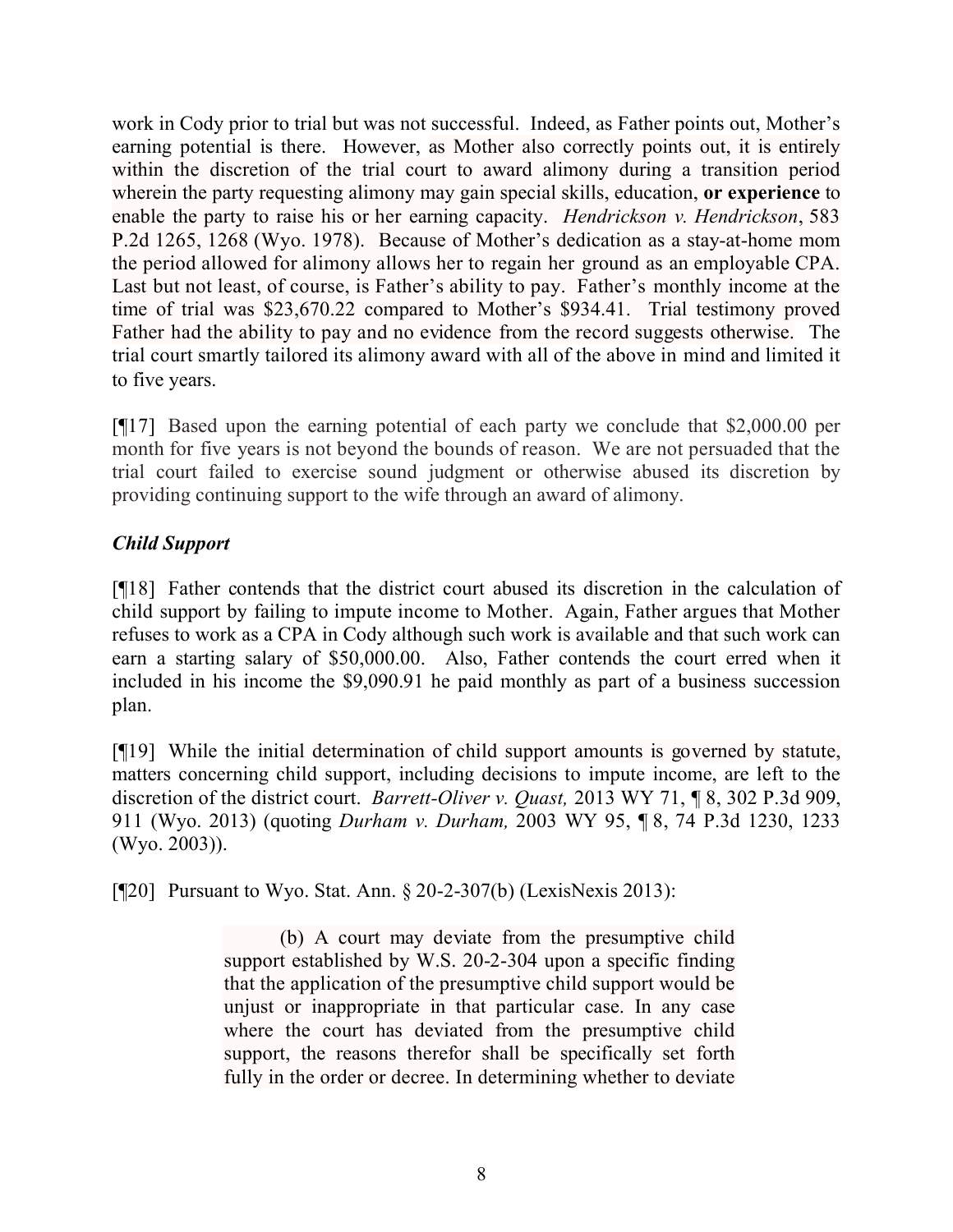work in Cody prior to trial but was not successful. Indeed, as Father points out, Mother's earning potential is there. However, as Mother also correctly points out, it is entirely within the discretion of the trial court to award alimony during a transition period wherein the party requesting alimony may gain special skills, education, **or experience** to enable the party to raise his or her earning capacity. *Hendrickson v. Hendrickson*, 583 P.2d 1265, 1268 (Wyo. 1978). Because of Mother's dedication as a stay-at-home mom the period allowed for alimony allows her to regain her ground as an employable CPA. Last but not least, of course, is Father's ability to pay. Father's monthly income at the time of trial was \$23,670.22 compared to Mother's \$934.41. Trial testimony proved Father had the ability to pay and no evidence from the record suggests otherwise. The trial court smartly tailored its alimony award with all of the above in mind and limited it to five years.

[¶17] Based upon the earning potential of each party we conclude that \$2,000.00 per month for five years is not beyond the bounds of reason. We are not persuaded that the trial court failed to exercise sound judgment or otherwise abused its discretion by providing continuing support to the wife through an award of alimony.

# *Child Support*

[¶18] Father contends that the district court abused its discretion in the calculation of child support by failing to impute income to Mother. Again, Father argues that Mother refuses to work as a CPA in Cody although such work is available and that such work can earn a starting salary of \$50,000.00. Also, Father contends the court erred when it included in his income the \$9,090.91 he paid monthly as part of a business succession plan.

[¶19] While the initial determination of child support amounts is governed by statute, matters concerning child support, including decisions to impute income, are left to the discretion of the district court. *Barrett-Oliver v. Quast,* 2013 WY 71, ¶ 8, 302 P.3d 909, 911 (Wyo. 2013) (quoting *Durham v. Durham,* 2003 WY 95, ¶ 8, 74 P.3d 1230, 1233 (Wyo. 2003)).

[¶20] Pursuant to Wyo. Stat. Ann. § 20-2-307(b) (LexisNexis 2013):

(b) A court may deviate from the presumptive child support established by W.S. 20-2-304 upon a specific finding that the application of the presumptive child support would be unjust or inappropriate in that particular case. In any case where the court has deviated from the presumptive child support, the reasons therefor shall be specifically set forth fully in the order or decree. In determining whether to deviate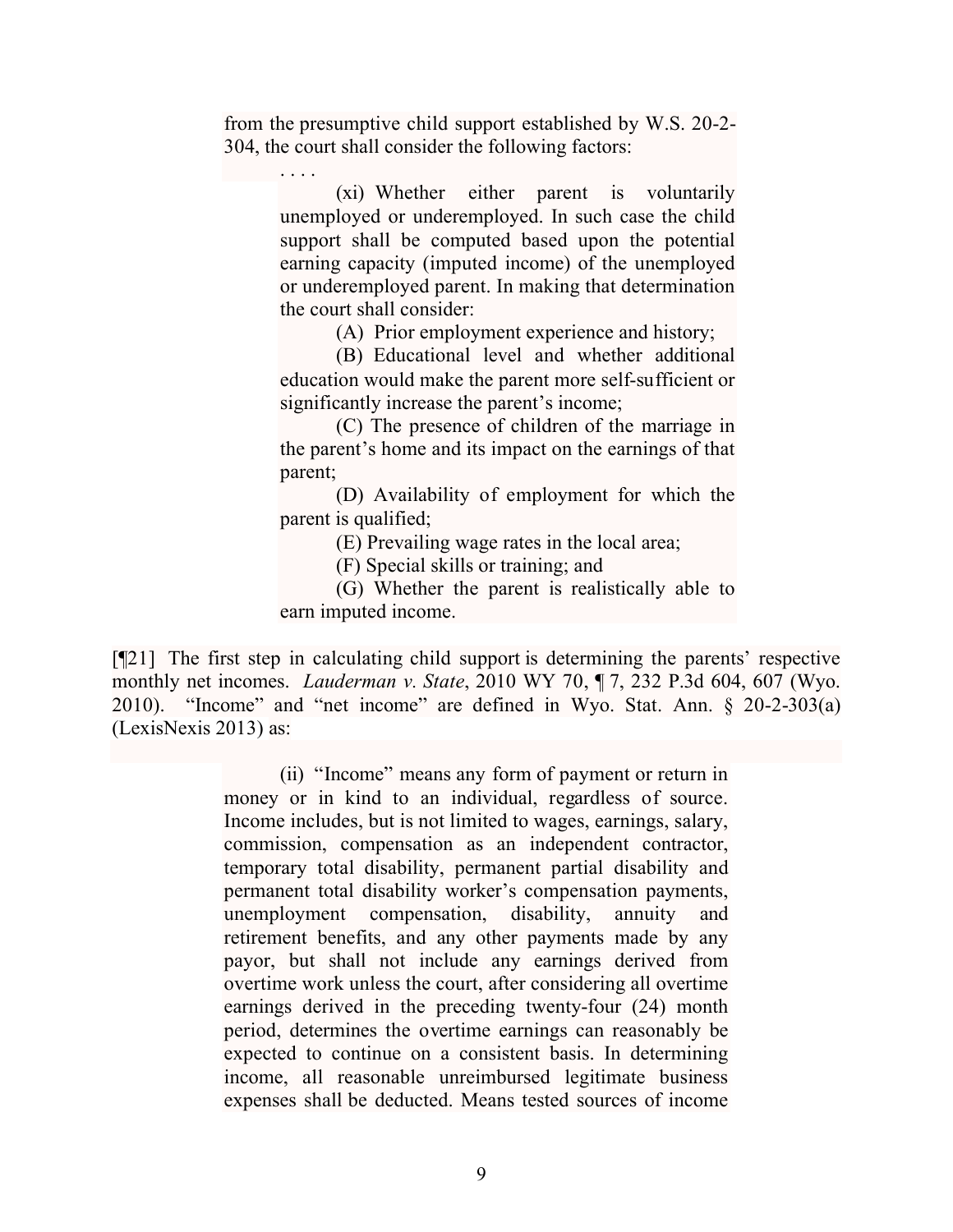from the presumptive child support established by W.S. 20-2- 304, the court shall consider the following factors:

> . . . . (xi) Whether either parent is voluntarily unemployed or underemployed. In such case the child support shall be computed based upon the potential earning capacity (imputed income) of the unemployed or underemployed parent. In making that determination the court shall consider:

> > (A) Prior employment experience and history;

(B) Educational level and whether additional education would make the parent more self-sufficient or significantly increase the parent's income;

(C) The presence of children of the marriage in the parent's home and its impact on the earnings of that parent;

(D) Availability of employment for which the parent is qualified;

(E) Prevailing wage rates in the local area;

(F) Special skills or training; and

(G) Whether the parent is realistically able to earn imputed income.

[¶21] The first step in calculating child support is determining the parents' respective monthly net incomes. *Lauderman v. State*, 2010 WY 70, ¶ 7, 232 P.3d 604, 607 (Wyo. 2010)."Income" and "net income" are defined in Wyo. Stat. Ann. § 20-2-303(a) (LexisNexis 2013) as:

> (ii) "Income" means any form of payment or return in money or in kind to an individual, regardless of source. Income includes, but is not limited to wages, earnings, salary, commission, compensation as an independent contractor, temporary total disability, permanent partial disability and permanent total disability worker's compensation payments, unemployment compensation, disability, annuity and retirement benefits, and any other payments made by any payor, but shall not include any earnings derived from overtime work unless the court, after considering all overtime earnings derived in the preceding twenty-four (24) month period, determines the overtime earnings can reasonably be expected to continue on a consistent basis. In determining income, all reasonable unreimbursed legitimate business expenses shall be deducted. Means tested sources of income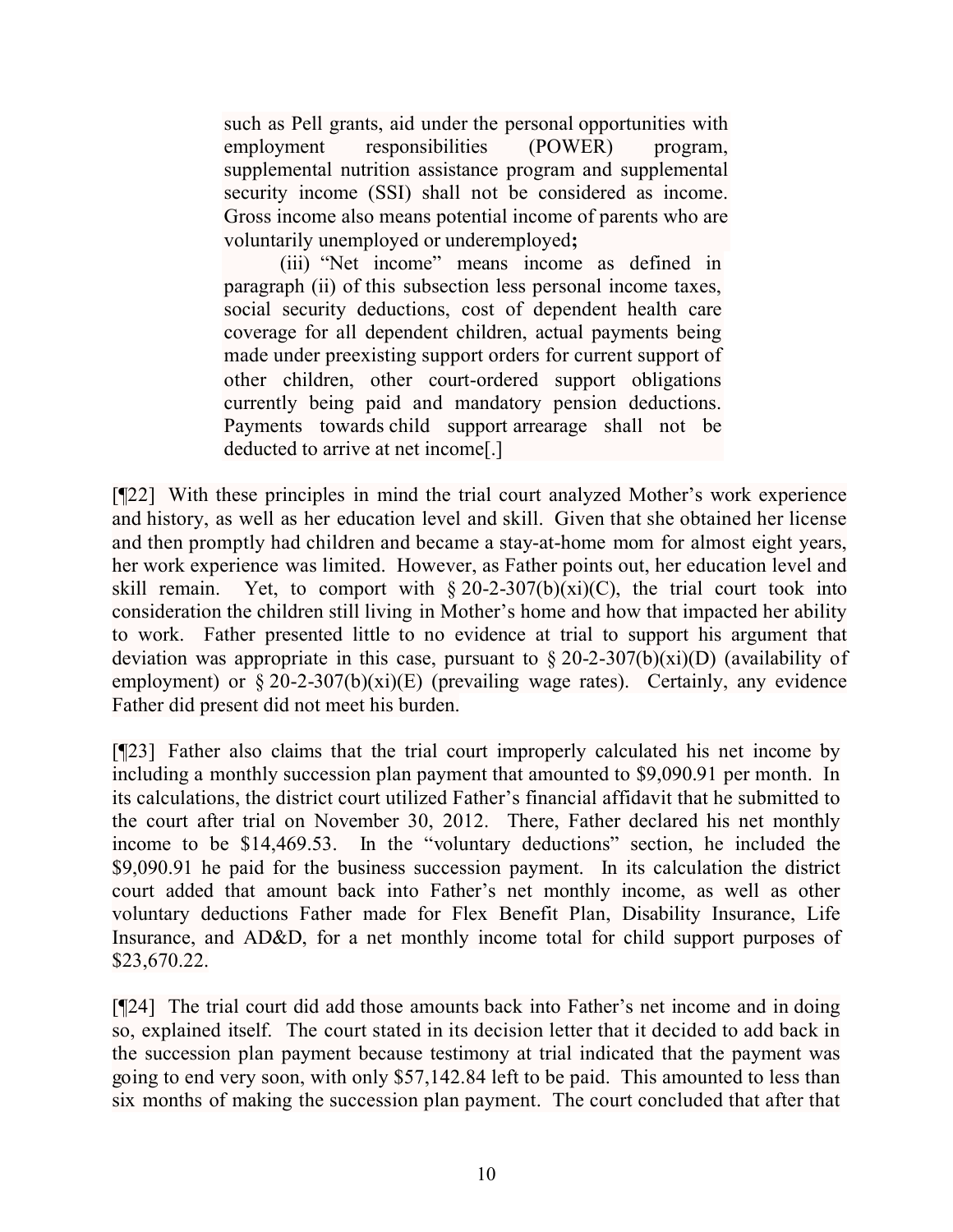such as Pell grants, aid under the personal opportunities with employment responsibilities (POWER) program, supplemental nutrition assistance program and supplemental security income (SSI) shall not be considered as income. Gross income also means potential income of parents who are voluntarily unemployed or underemployed**;**

(iii) "Net income" means income as defined in paragraph (ii) of this subsection less personal income taxes, social security deductions, cost of dependent health care coverage for all dependent children, actual payments being made under preexisting support orders for current support of other children, other court-ordered support obligations currently being paid and mandatory pension deductions. Payments towards child support arrearage shall not be deducted to arrive at net income[.]

[¶22] With these principles in mind the trial court analyzed Mother's work experience and history, as well as her education level and skill. Given that she obtained her license and then promptly had children and became a stay-at-home mom for almost eight years, her work experience was limited. However, as Father points out, her education level and skill remain. Yet, to comport with  $\S 20-2-307(b)(xi)(C)$ , the trial court took into consideration the children still living in Mother's home and how that impacted her ability to work. Father presented little to no evidence at trial to support his argument that deviation was appropriate in this case, pursuant to  $\S 20-2-307(b)(xi)(D)$  (availability of employment) or  $\S 20-2-307(b)(xi)(E)$  (prevailing wage rates). Certainly, any evidence Father did present did not meet his burden.

[¶23] Father also claims that the trial court improperly calculated his net income by including a monthly succession plan payment that amounted to \$9,090.91 per month. In its calculations, the district court utilized Father's financial affidavit that he submitted to the court after trial on November 30, 2012. There, Father declared his net monthly income to be \$14,469.53. In the "voluntary deductions" section, he included the \$9,090.91 he paid for the business succession payment. In its calculation the district court added that amount back into Father's net monthly income, as well as other voluntary deductions Father made for Flex Benefit Plan, Disability Insurance, Life Insurance, and AD&D, for a net monthly income total for child support purposes of \$23,670.22.

[¶24] The trial court did add those amounts back into Father's net income and in doing so, explained itself. The court stated in its decision letter that it decided to add back in the succession plan payment because testimony at trial indicated that the payment was going to end very soon, with only \$57,142.84 left to be paid. This amounted to less than six months of making the succession plan payment. The court concluded that after that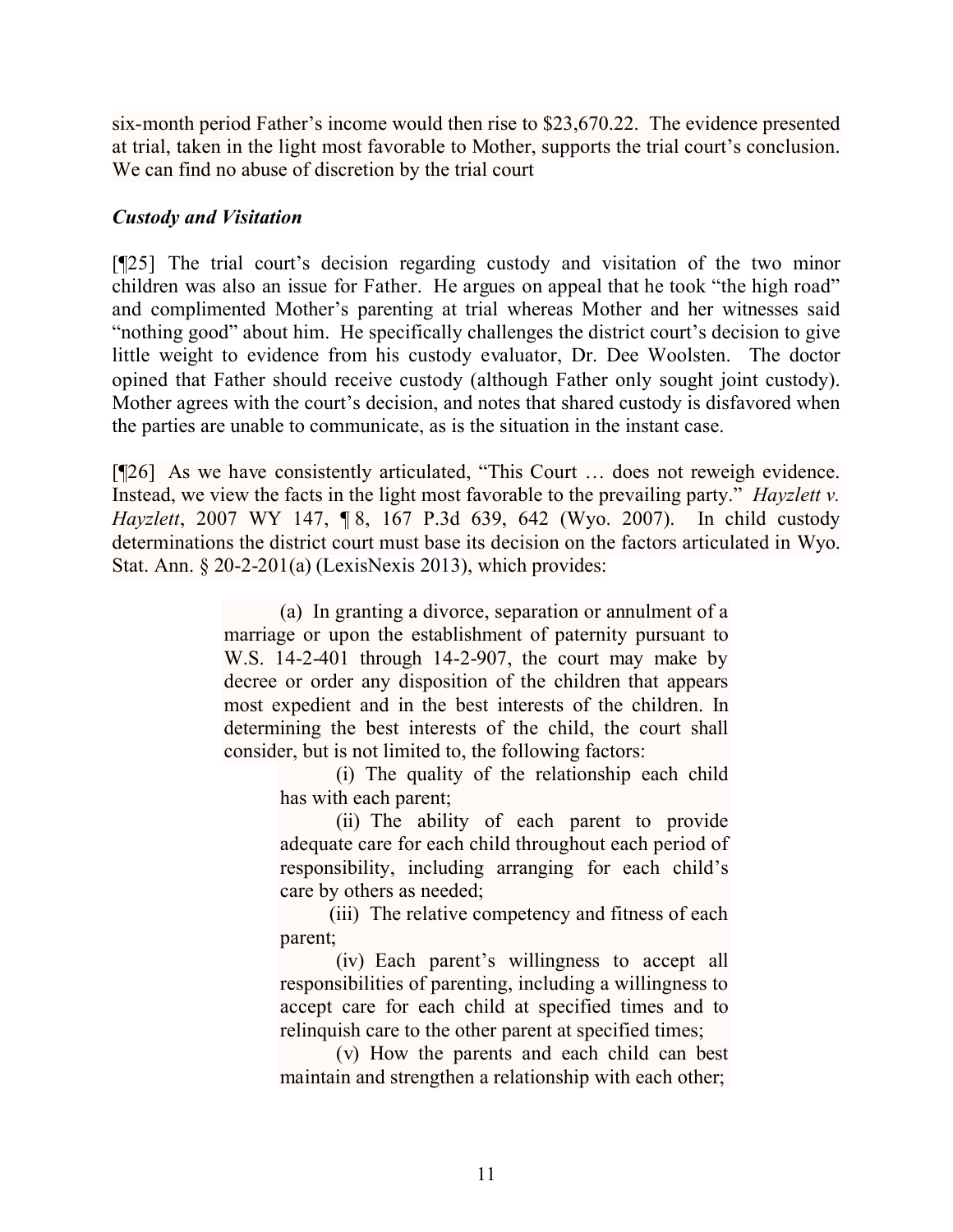six-month period Father's income would then rise to \$23,670.22. The evidence presented at trial, taken in the light most favorable to Mother, supports the trial court's conclusion. We can find no abuse of discretion by the trial court

## *Custody and Visitation*

[¶25] The trial court's decision regarding custody and visitation of the two minor children was also an issue for Father. He argues on appeal that he took "the high road" and complimented Mother's parenting at trial whereas Mother and her witnesses said "nothing good" about him. He specifically challenges the district court's decision to give little weight to evidence from his custody evaluator, Dr. Dee Woolsten. The doctor opined that Father should receive custody (although Father only sought joint custody). Mother agrees with the court's decision, and notes that shared custody is disfavored when the parties are unable to communicate, as is the situation in the instant case.

[¶26] As we have consistently articulated, "This Court … does not reweigh evidence. Instead, we view the facts in the light most favorable to the prevailing party." *Hayzlett v. Hayzlett*, 2007 WY 147, ¶ 8, 167 P.3d 639, 642 (Wyo. 2007). In child custody determinations the district court must base its decision on the factors articulated in Wyo. Stat. Ann. § 20-2-201(a) (LexisNexis 2013), which provides:

> (a) In granting a divorce, separation or annulment of a marriage or upon the establishment of paternity pursuant to W.S. 14-2-401 through 14-2-907, the court may make by decree or order any disposition of the children that appears most expedient and in the best interests of the children. In determining the best interests of the child, the court shall consider, but is not limited to, the following factors:

> > (i) The quality of the relationship each child has with each parent;

> > (ii) The ability of each parent to provide adequate care for each child throughout each period of responsibility, including arranging for each child's care by others as needed;

(iii) The relative competency and fitness of each parent;

(iv) Each parent's willingness to accept all responsibilities of parenting, including a willingness to accept care for each child at specified times and to relinquish care to the other parent at specified times;

(v) How the parents and each child can best maintain and strengthen a relationship with each other;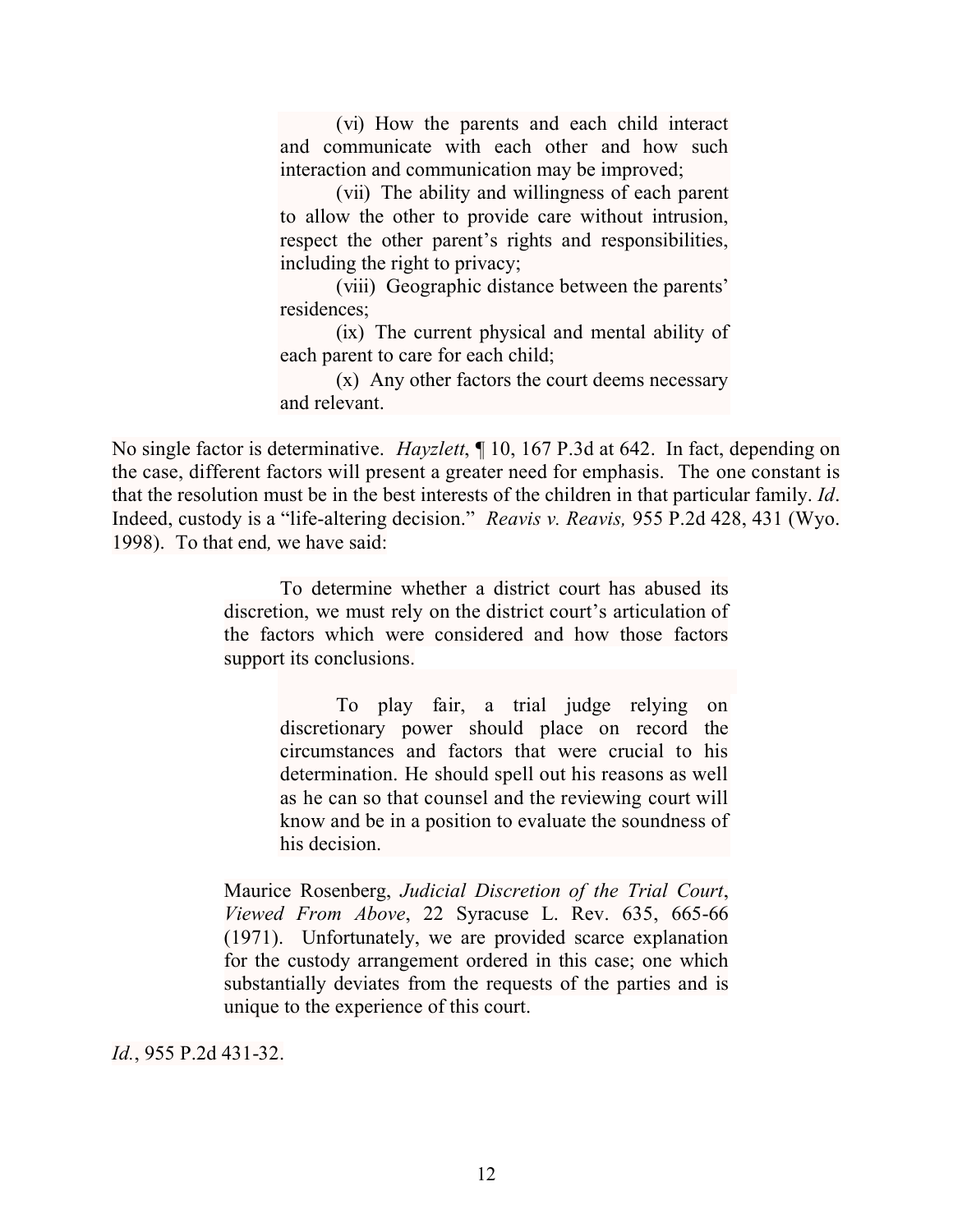(vi) How the parents and each child interact and communicate with each other and how such interaction and communication may be improved;

(vii) The ability and willingness of each parent to allow the other to provide care without intrusion, respect the other parent's rights and responsibilities, including the right to privacy;

(viii) Geographic distance between the parents' residences;

(ix) The current physical and mental ability of each parent to care for each child;

(x) Any other factors the court deems necessary and relevant.

No single factor is determinative. *Hayzlett*, ¶ 10, 167 P.3d at 642. In fact, depending on the case, different factors will present a greater need for emphasis. The one constant is that the resolution must be in the best interests of the children in that particular family. *Id*. Indeed, custody is a "life-altering decision." *Reavis v. Reavis,* 955 P.2d 428, 431 (Wyo. 1998). To that end*,* we have said:

> To determine whether a district court has abused its discretion, we must rely on the district court's articulation of the factors which were considered and how those factors support its conclusions.

> > To play fair, a trial judge relying on discretionary power should place on record the circumstances and factors that were crucial to his determination. He should spell out his reasons as well as he can so that counsel and the reviewing court will know and be in a position to evaluate the soundness of his decision.

Maurice Rosenberg, *Judicial Discretion of the Trial Court*, *Viewed From Above*, 22 Syracuse L. Rev. 635, 665-66 (1971). Unfortunately, we are provided scarce explanation for the custody arrangement ordered in this case; one which substantially deviates from the requests of the parties and is unique to the experience of this court.

*Id.*, 955 P.2d 431-32.